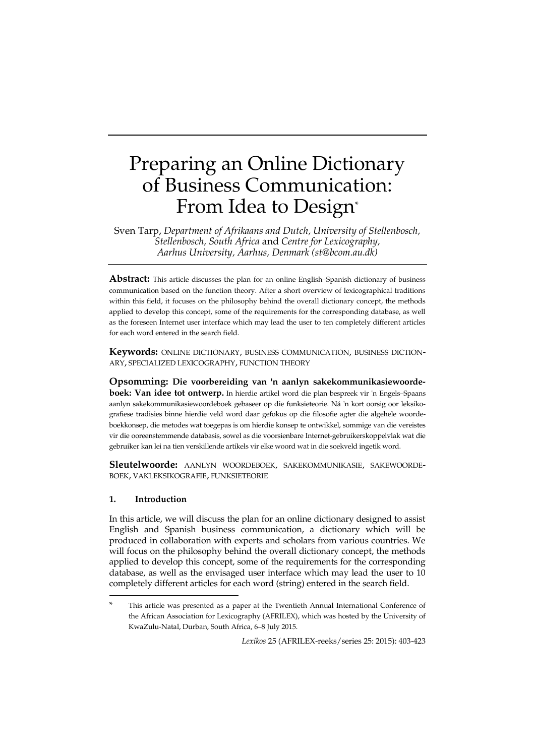# Preparing an Online Dictionary of Business Communication: From Idea to Design<sup>\*</sup>

Sven Tarp, *Department of Afrikaans and Dutch, University of Stellenbosch, Stellenbosch, South Africa* and *Centre for Lexicography, Aarhus University, Aarhus, Denmark (st@bcom.au.dk)*

Abstract: This article discusses the plan for an online English–Spanish dictionary of business communication based on the function theory. After a short overview of lexicographical traditions within this field, it focuses on the philosophy behind the overall dictionary concept, the methods applied to develop this concept, some of the requirements for the corresponding database, as well as the foreseen Internet user interface which may lead the user to ten completely different articles for each word entered in the search field.

**Keywords:** ONLINE DICTIONARY, BUSINESS COMMUNICATION, BUSINESS DICTION-ARY, SPECIALIZED LEXICOGRAPHY, FUNCTION THEORY

**Opsomming: Die voorbereiding van 'n aanlyn sakekommunikasiewoordeboek: Van idee tot ontwerp.** In hierdie artikel word die plan bespreek vir 'n Engels–Spaans aanlyn sakekommunikasiewoordeboek gebaseer op die funksieteorie. Ná 'n kort oorsig oor leksikografiese tradisies binne hierdie veld word daar gefokus op die filosofie agter die algehele woordeboekkonsep, die metodes wat toegepas is om hierdie konsep te ontwikkel, sommige van die vereistes vir die ooreenstemmende databasis, sowel as die voorsienbare Internet-gebruikerskoppelvlak wat die gebruiker kan lei na tien verskillende artikels vir elke woord wat in die soekveld ingetik word.

**Sleutelwoorde:** AANLYN WOORDEBOEK, SAKEKOMMUNIKASIE, SAKEWOORDE-BOEK, VAKLEKSIKOGRAFIE, FUNKSIETEORIE

## **1. Introduction**

-

In this article, we will discuss the plan for an online dictionary designed to assist English and Spanish business communication, a dictionary which will be produced in collaboration with experts and scholars from various countries. We will focus on the philosophy behind the overall dictionary concept, the methods applied to develop this concept, some of the requirements for the corresponding database, as well as the envisaged user interface which may lead the user to 10 completely different articles for each word (string) entered in the search field.

This article was presented as a paper at the Twentieth Annual International Conference of the African Association for Lexicography (AFRILEX), which was hosted by the University of KwaZulu-Natal, Durban, South Africa, 6–8 July 2015.

*Lexikos* 25 (AFRILEX-reeks/series 25: 2015): 403-423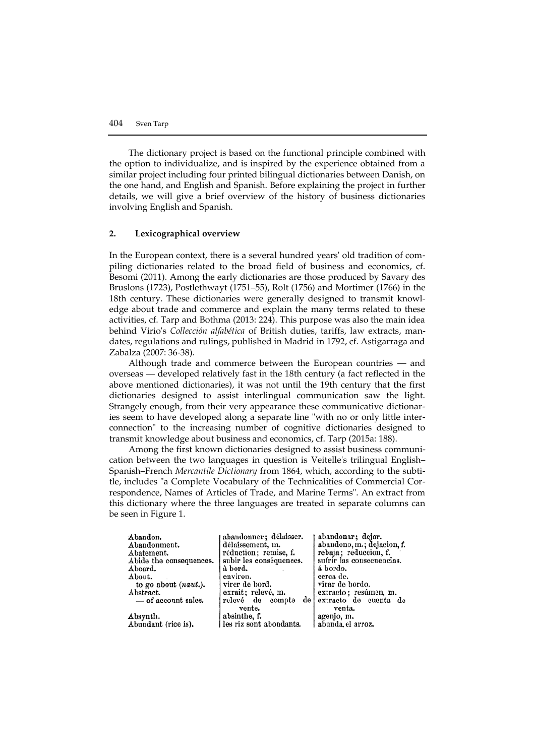The dictionary project is based on the functional principle combined with the option to individualize, and is inspired by the experience obtained from a similar project including four printed bilingual dictionaries between Danish, on the one hand, and English and Spanish. Before explaining the project in further details, we will give a brief overview of the history of business dictionaries involving English and Spanish.

## **2. Lexicographical overview**

In the European context, there is a several hundred years' old tradition of compiling dictionaries related to the broad field of business and economics, cf. Besomi (2011). Among the early dictionaries are those produced by Savary des Bruslons (1723), Postlethwayt (1751–55), Rolt (1756) and Mortimer (1766) in the 18th century. These dictionaries were generally designed to transmit knowledge about trade and commerce and explain the many terms related to these activities, cf. Tarp and Bothma (2013: 224). This purpose was also the main idea behind Virio's *Collección alfabética* of British duties, tariffs, law extracts, mandates, regulations and rulings, published in Madrid in 1792, cf. Astigarraga and Zabalza (2007: 36-38).

Although trade and commerce between the European countries — and overseas — developed relatively fast in the 18th century (a fact reflected in the above mentioned dictionaries), it was not until the 19th century that the first dictionaries designed to assist interlingual communication saw the light. Strangely enough, from their very appearance these communicative dictionaries seem to have developed along a separate line "with no or only little interconnection" to the increasing number of cognitive dictionaries designed to transmit knowledge about business and economics, cf. Tarp (2015a: 188).

Among the first known dictionaries designed to assist business communication between the two languages in question is Veitelle's trilingual English– Spanish–French *Mercantile Dictionary* from 1864, which, according to the subtitle, includes "a Complete Vocabulary of the Technicalities of Commercial Correspondence, Names of Articles of Trade, and Marine Terms". An extract from this dictionary where the three languages are treated in separate columns can be seen in Figure 1.

abandonner; délaisser. abandonar; dejar. Abandon. abandono, m.; dejacion, f. Abandonment. délaissement, m. réduction; remise, f. rebaja; reduccion, f. Abatement. sufrir las consecuencias. Abide the consequences. subir les conséquences. á bordo. Aboard. a bord. About. environ. cerca de. to go about (naut.). virer de bord. virar de bordo. exrait; relevé, m. extracto; resúmen, m.<br>extracto de cuenta de Abstract. - of account sales. relevé de compte de vente. venta. absinthe, f. agenjo, m. Absynth. Abundant (rice is). les riz sont abondants. abunda el arroz.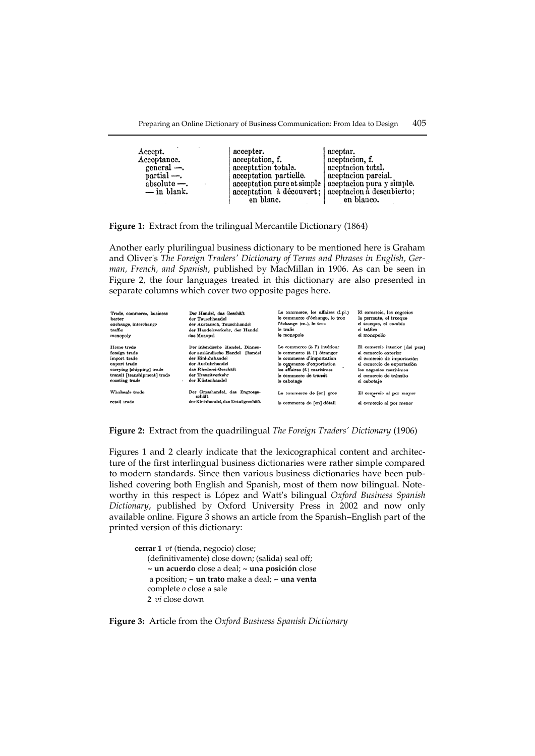| Accept.<br>Acceptance.<br>general -<br>$partial$ —.<br>$absolute -$ .<br>$-$ in blank. | accepter.<br>acceptation, f.<br>acceptation totale.<br>acceptation partielle.<br>acceptation pure et simple   aceptacion pura y simple.<br>acceptation à découvert; aceptacion à descubierto;<br>en blanc. | aceptar.<br>aceptacion, f.<br>aceptacion total.<br>aceptacion parcial.<br>en blanco. |
|----------------------------------------------------------------------------------------|------------------------------------------------------------------------------------------------------------------------------------------------------------------------------------------------------------|--------------------------------------------------------------------------------------|
|                                                                                        |                                                                                                                                                                                                            |                                                                                      |

**Figure 1:** Extract from the trilingual Mercantile Dictionary (1864)

Another early plurilingual business dictionary to be mentioned here is Graham and Oliver's *The Foreign Traders' Dictionary of Terms and Phrases in English, German, French, and Spanish*, published by MacMillan in 1906. As can be seen in Figure 2, the four languages treated in this dictionary are also presented in separate columns which cover two opposite pages here.

| Trade, commerce, business<br>barter<br>exchange, interchange<br>traffic<br>monopoly                                                        | Der Handel, das Geschäft<br>der Tauschhandel<br>der Austausch, Tauschhandel<br>der Handelsverkehr, der Handel<br>das Monopol                                                       | Le commerce, les affaires (f.pl.)<br>le commerce d'échange, le troc<br>l'échange (m.), le troc<br>le trafic<br>le monopole                                                                    | El comercio, los negocios<br>la permuta, el trueque<br>el trueque, el cambio<br>el tráfico<br>el monopolio                                                                              |
|--------------------------------------------------------------------------------------------------------------------------------------------|------------------------------------------------------------------------------------------------------------------------------------------------------------------------------------|-----------------------------------------------------------------------------------------------------------------------------------------------------------------------------------------------|-----------------------------------------------------------------------------------------------------------------------------------------------------------------------------------------|
| Home trade<br>foreign trade<br>import trade<br>export trade<br>carrying [shipping] trade<br>transit [transhipment] trade<br>coasting trade | Der inländische Handel, Binnen-<br>der ausländische Handel<br>[hande]<br>der Einfuhrhandel<br>der Ausfuhrhandel<br>das Rhederei-Geschäft<br>der Transitverkehr<br>der Küstenhandel | Le commerce (à l') intérieur<br>le commerce (à l') étranger<br>le commerce d'importation<br>lo commerce d'exportation<br>les affaires (f.) maritimes<br>le commerce de transit<br>le cabotage | El comercio interior [del país]<br>el comercio exterior<br>el comercio de importación<br>el comercio de exportación<br>los negocios marítimos<br>el comercio de tránsito<br>el cabotaje |
| Wholesale trade<br>retail trade                                                                                                            | Der Grosshandel, das Engrosge-<br>schäft<br>der Kleinhandel, das Detailgeschäft                                                                                                    | Le commerce de [en] gros<br>le commerce de [en] détail                                                                                                                                        | El comercio al por mayor<br>el comorcio al por menor                                                                                                                                    |

**Figure 2:** Extract from the quadrilingual *The Foreign Traders' Dictionary* (1906)

Figures 1 and 2 clearly indicate that the lexicographical content and architecture of the first interlingual business dictionaries were rather simple compared to modern standards. Since then various business dictionaries have been published covering both English and Spanish, most of them now bilingual. Noteworthy in this respect is López and Watt's bilingual *Oxford Business Spanish Dictionary*, published by Oxford University Press in 2002 and now only available online. Figure 3 shows an article from the Spanish–English part of the printed version of this dictionary:

**cerrar 1** *vt* (tienda, negocio) close; (definitivamente) close down; (salida) seal off; **~ un acuerdo** close a deal; **~ una posición** close a position; **~ un trato** make a deal; **~ una venta** complete *o* close a sale **2** *vi* close down

## **Figure 3:** Article from the *Oxford Business Spanish Dictionary*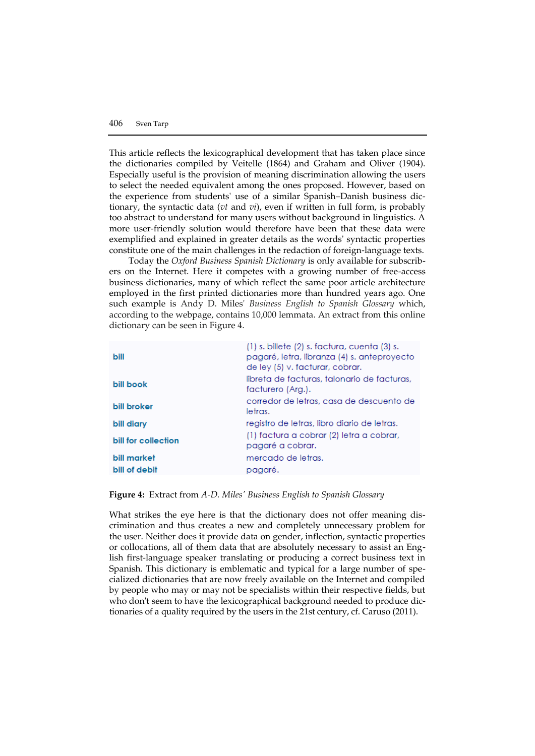This article reflects the lexicographical development that has taken place since the dictionaries compiled by Veitelle (1864) and Graham and Oliver (1904). Especially useful is the provision of meaning discrimination allowing the users to select the needed equivalent among the ones proposed. However, based on the experience from students' use of a similar Spanish–Danish business dictionary, the syntactic data (*vt* and *vi*), even if written in full form, is probably too abstract to understand for many users without background in linguistics. A more user-friendly solution would therefore have been that these data were exemplified and explained in greater details as the words' syntactic properties constitute one of the main challenges in the redaction of foreign-language texts.

Today the *Oxford Business Spanish Dictionary* is only available for subscribers on the Internet. Here it competes with a growing number of free-access business dictionaries, many of which reflect the same poor article architecture employed in the first printed dictionaries more than hundred years ago. One such example is Andy D. Miles' *Business English to Spanish Glossary* which, according to the webpage, contains 10,000 lemmata. An extract from this online dictionary can be seen in Figure 4.

| bill                | (1) s. billete (2) s. factura, cuenta (3) s.<br>pagaré, letra, libranza (4) s. anteproyecto<br>de ley (5) v. facturar, cobrar. |
|---------------------|--------------------------------------------------------------------------------------------------------------------------------|
| bill book           | libreta de facturas, talonario de facturas,<br>facturero (Arg.).                                                               |
| bill broker         | corredor de letras, casa de descuento de<br>letras.                                                                            |
| bill diary          | registro de letras, libro diario de letras.                                                                                    |
| bill for collection | (1) factura a cobrar (2) letra a cobrar,<br>pagaré a cobrar.                                                                   |
| bill market         | mercado de letras.                                                                                                             |
| bill of debit       | pagaré.                                                                                                                        |

## **Figure 4:** Extract from *A-D. Miles' Business English to Spanish Glossary*

What strikes the eye here is that the dictionary does not offer meaning discrimination and thus creates a new and completely unnecessary problem for the user. Neither does it provide data on gender, inflection, syntactic properties or collocations, all of them data that are absolutely necessary to assist an English first-language speaker translating or producing a correct business text in Spanish. This dictionary is emblematic and typical for a large number of specialized dictionaries that are now freely available on the Internet and compiled by people who may or may not be specialists within their respective fields, but who don't seem to have the lexicographical background needed to produce dictionaries of a quality required by the users in the 21st century, cf. Caruso (2011).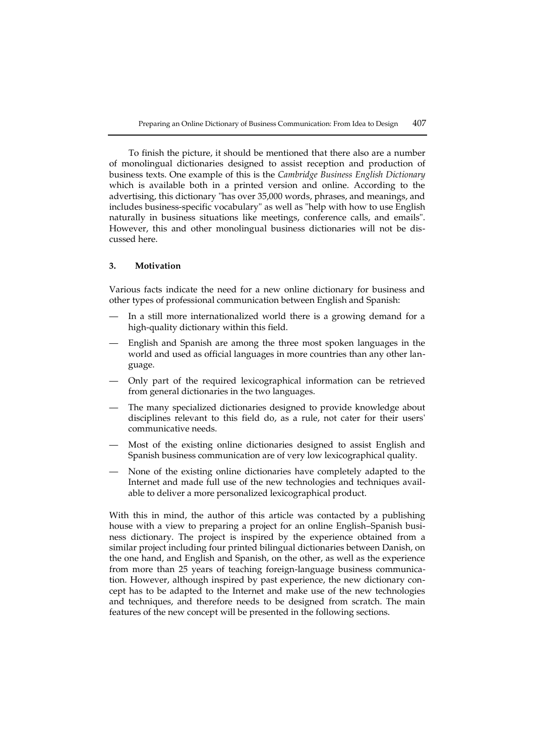To finish the picture, it should be mentioned that there also are a number of monolingual dictionaries designed to assist reception and production of business texts. One example of this is the *Cambridge Business English Dictionary* which is available both in a printed version and online. According to the advertising, this dictionary "has over 35,000 words, phrases, and meanings, and includes business-specific vocabulary" as well as "help with how to use English naturally in business situations like meetings, conference calls, and emails". However, this and other monolingual business dictionaries will not be discussed here.

# **3. Motivation**

Various facts indicate the need for a new online dictionary for business and other types of professional communication between English and Spanish:

- In a still more internationalized world there is a growing demand for a high-quality dictionary within this field.
- English and Spanish are among the three most spoken languages in the world and used as official languages in more countries than any other language.
- Only part of the required lexicographical information can be retrieved from general dictionaries in the two languages.
- The many specialized dictionaries designed to provide knowledge about disciplines relevant to this field do, as a rule, not cater for their users' communicative needs.
- Most of the existing online dictionaries designed to assist English and Spanish business communication are of very low lexicographical quality.
- None of the existing online dictionaries have completely adapted to the Internet and made full use of the new technologies and techniques available to deliver a more personalized lexicographical product.

With this in mind, the author of this article was contacted by a publishing house with a view to preparing a project for an online English–Spanish business dictionary. The project is inspired by the experience obtained from a similar project including four printed bilingual dictionaries between Danish, on the one hand, and English and Spanish, on the other, as well as the experience from more than 25 years of teaching foreign-language business communication. However, although inspired by past experience, the new dictionary concept has to be adapted to the Internet and make use of the new technologies and techniques, and therefore needs to be designed from scratch. The main features of the new concept will be presented in the following sections.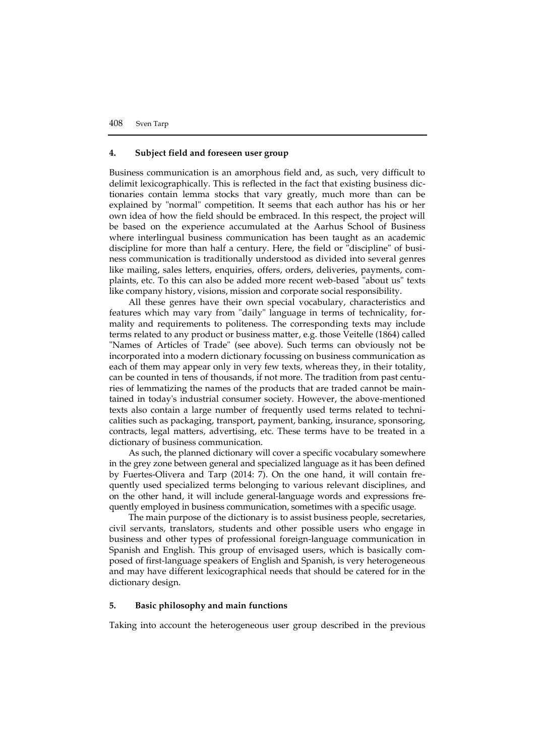# **4. Subject field and foreseen user group**

Business communication is an amorphous field and, as such, very difficult to delimit lexicographically. This is reflected in the fact that existing business dictionaries contain lemma stocks that vary greatly, much more than can be explained by "normal" competition. It seems that each author has his or her own idea of how the field should be embraced. In this respect, the project will be based on the experience accumulated at the Aarhus School of Business where interlingual business communication has been taught as an academic discipline for more than half a century. Here, the field or "discipline" of business communication is traditionally understood as divided into several genres like mailing, sales letters, enquiries, offers, orders, deliveries, payments, complaints, etc. To this can also be added more recent web-based "about us" texts like company history, visions, mission and corporate social responsibility.

All these genres have their own special vocabulary, characteristics and features which may vary from "daily" language in terms of technicality, formality and requirements to politeness. The corresponding texts may include terms related to any product or business matter, e.g. those Veitelle (1864) called "Names of Articles of Trade" (see above). Such terms can obviously not be incorporated into a modern dictionary focussing on business communication as each of them may appear only in very few texts, whereas they, in their totality, can be counted in tens of thousands, if not more. The tradition from past centuries of lemmatizing the names of the products that are traded cannot be maintained in today's industrial consumer society. However, the above-mentioned texts also contain a large number of frequently used terms related to technicalities such as packaging, transport, payment, banking, insurance, sponsoring, contracts, legal matters, advertising, etc. These terms have to be treated in a dictionary of business communication.

As such, the planned dictionary will cover a specific vocabulary somewhere in the grey zone between general and specialized language as it has been defined by Fuertes-Olivera and Tarp (2014: 7). On the one hand, it will contain frequently used specialized terms belonging to various relevant disciplines, and on the other hand, it will include general-language words and expressions frequently employed in business communication, sometimes with a specific usage.

The main purpose of the dictionary is to assist business people, secretaries, civil servants, translators, students and other possible users who engage in business and other types of professional foreign-language communication in Spanish and English. This group of envisaged users, which is basically composed of first-language speakers of English and Spanish, is very heterogeneous and may have different lexicographical needs that should be catered for in the dictionary design.

# **5. Basic philosophy and main functions**

Taking into account the heterogeneous user group described in the previous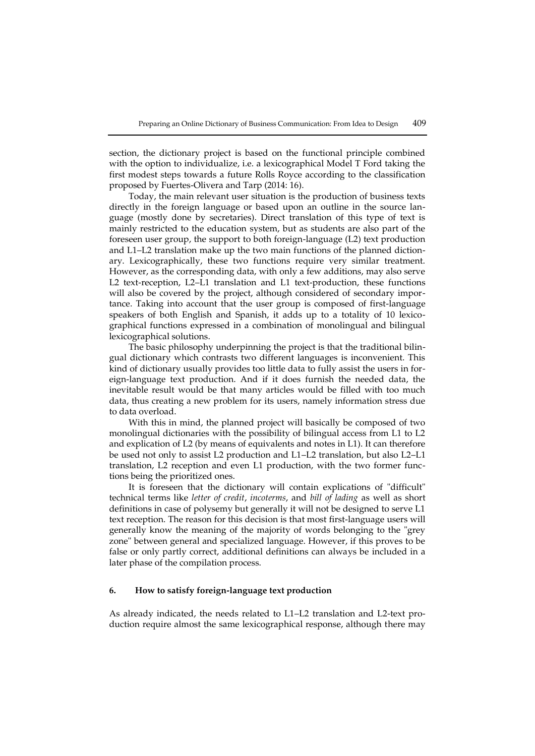section, the dictionary project is based on the functional principle combined with the option to individualize, i.e. a lexicographical Model T Ford taking the first modest steps towards a future Rolls Royce according to the classification proposed by Fuertes-Olivera and Tarp (2014: 16).

Today, the main relevant user situation is the production of business texts directly in the foreign language or based upon an outline in the source language (mostly done by secretaries). Direct translation of this type of text is mainly restricted to the education system, but as students are also part of the foreseen user group, the support to both foreign-language (L2) text production and L1–L2 translation make up the two main functions of the planned dictionary. Lexicographically, these two functions require very similar treatment. However, as the corresponding data, with only a few additions, may also serve L2 text-reception, L2–L1 translation and L1 text-production, these functions will also be covered by the project, although considered of secondary importance. Taking into account that the user group is composed of first-language speakers of both English and Spanish, it adds up to a totality of 10 lexicographical functions expressed in a combination of monolingual and bilingual lexicographical solutions.

The basic philosophy underpinning the project is that the traditional bilingual dictionary which contrasts two different languages is inconvenient. This kind of dictionary usually provides too little data to fully assist the users in foreign-language text production. And if it does furnish the needed data, the inevitable result would be that many articles would be filled with too much data, thus creating a new problem for its users, namely information stress due to data overload.

With this in mind, the planned project will basically be composed of two monolingual dictionaries with the possibility of bilingual access from L1 to L2 and explication of L2 (by means of equivalents and notes in L1). It can therefore be used not only to assist L2 production and L1–L2 translation, but also L2–L1 translation, L2 reception and even L1 production, with the two former functions being the prioritized ones.

It is foreseen that the dictionary will contain explications of "difficult" technical terms like *letter of credit*, *incoterms*, and *bill of lading* as well as short definitions in case of polysemy but generally it will not be designed to serve L1 text reception. The reason for this decision is that most first-language users will generally know the meaning of the majority of words belonging to the "grey zone" between general and specialized language. However, if this proves to be false or only partly correct, additional definitions can always be included in a later phase of the compilation process.

# **6. How to satisfy foreign-language text production**

As already indicated, the needs related to L1–L2 translation and L2-text production require almost the same lexicographical response, although there may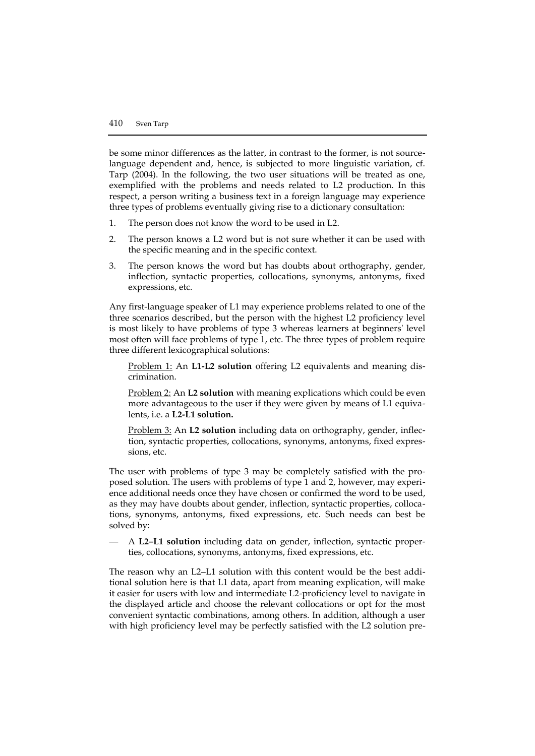be some minor differences as the latter, in contrast to the former, is not sourcelanguage dependent and, hence, is subjected to more linguistic variation, cf. Tarp (2004). In the following, the two user situations will be treated as one, exemplified with the problems and needs related to L2 production. In this respect, a person writing a business text in a foreign language may experience three types of problems eventually giving rise to a dictionary consultation:

- 1. The person does not know the word to be used in L2.
- 2. The person knows a L2 word but is not sure whether it can be used with the specific meaning and in the specific context.
- 3. The person knows the word but has doubts about orthography, gender, inflection, syntactic properties, collocations, synonyms, antonyms, fixed expressions, etc.

Any first-language speaker of L1 may experience problems related to one of the three scenarios described, but the person with the highest L2 proficiency level is most likely to have problems of type 3 whereas learners at beginners' level most often will face problems of type 1, etc. The three types of problem require three different lexicographical solutions:

Problem 1: An **L1-L2 solution** offering L2 equivalents and meaning discrimination.

Problem 2: An **L2 solution** with meaning explications which could be even more advantageous to the user if they were given by means of L1 equivalents, i.e. a **L2-L1 solution.**

Problem 3: An **L2 solution** including data on orthography, gender, inflection, syntactic properties, collocations, synonyms, antonyms, fixed expressions, etc.

The user with problems of type 3 may be completely satisfied with the proposed solution. The users with problems of type 1 and 2, however, may experience additional needs once they have chosen or confirmed the word to be used, as they may have doubts about gender, inflection, syntactic properties, collocations, synonyms, antonyms, fixed expressions, etc. Such needs can best be solved by:

— A **L2–L1 solution** including data on gender, inflection, syntactic properties, collocations, synonyms, antonyms, fixed expressions, etc.

The reason why an L2–L1 solution with this content would be the best additional solution here is that L1 data, apart from meaning explication, will make it easier for users with low and intermediate L2-proficiency level to navigate in the displayed article and choose the relevant collocations or opt for the most convenient syntactic combinations, among others. In addition, although a user with high proficiency level may be perfectly satisfied with the L2 solution pre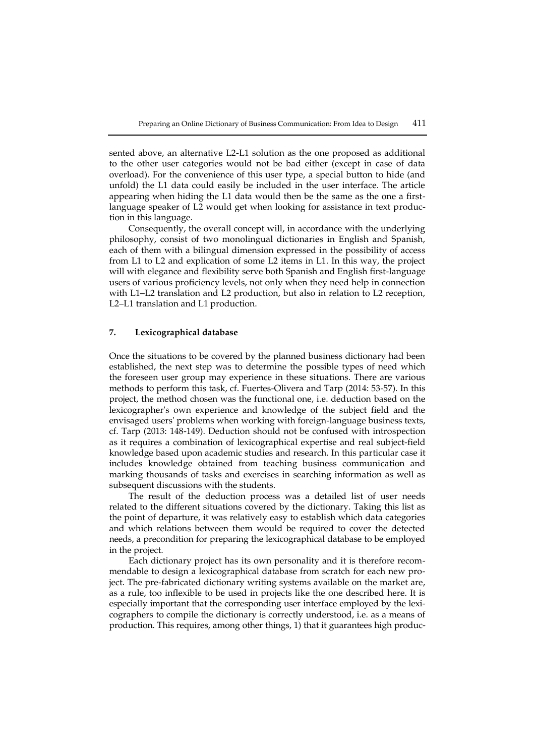sented above, an alternative L2-L1 solution as the one proposed as additional to the other user categories would not be bad either (except in case of data overload). For the convenience of this user type, a special button to hide (and unfold) the L1 data could easily be included in the user interface. The article appearing when hiding the L1 data would then be the same as the one a firstlanguage speaker of L2 would get when looking for assistance in text production in this language.

Consequently, the overall concept will, in accordance with the underlying philosophy, consist of two monolingual dictionaries in English and Spanish, each of them with a bilingual dimension expressed in the possibility of access from L1 to L2 and explication of some L2 items in L1. In this way, the project will with elegance and flexibility serve both Spanish and English first-language users of various proficiency levels, not only when they need help in connection with L1–L2 translation and L2 production, but also in relation to L2 reception, L2–L1 translation and L1 production.

# **7. Lexicographical database**

Once the situations to be covered by the planned business dictionary had been established, the next step was to determine the possible types of need which the foreseen user group may experience in these situations. There are various methods to perform this task, cf. Fuertes-Olivera and Tarp (2014: 53-57). In this project, the method chosen was the functional one, i.e. deduction based on the lexicographer's own experience and knowledge of the subject field and the envisaged users' problems when working with foreign-language business texts, cf. Tarp (2013: 148-149). Deduction should not be confused with introspection as it requires a combination of lexicographical expertise and real subject-field knowledge based upon academic studies and research. In this particular case it includes knowledge obtained from teaching business communication and marking thousands of tasks and exercises in searching information as well as subsequent discussions with the students.

The result of the deduction process was a detailed list of user needs related to the different situations covered by the dictionary. Taking this list as the point of departure, it was relatively easy to establish which data categories and which relations between them would be required to cover the detected needs, a precondition for preparing the lexicographical database to be employed in the project.

Each dictionary project has its own personality and it is therefore recommendable to design a lexicographical database from scratch for each new project. The pre-fabricated dictionary writing systems available on the market are, as a rule, too inflexible to be used in projects like the one described here. It is especially important that the corresponding user interface employed by the lexicographers to compile the dictionary is correctly understood, i.e. as a means of production. This requires, among other things, 1) that it guarantees high produc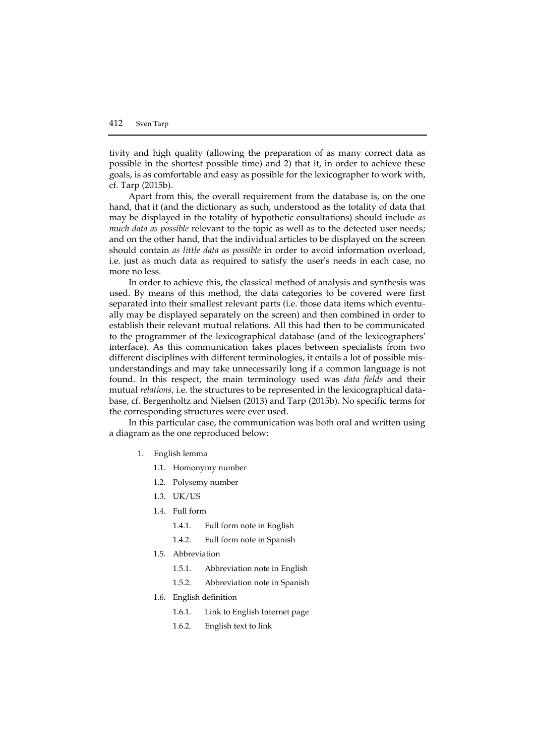tivity and high quality (allowing the preparation of as many correct data as possible in the shortest possible time) and 2) that it, in order to achieve these goals, is as comfortable and easy as possible for the lexicographer to work with, cf. Tarp (2015b).

Apart from this, the overall requirement from the database is, on the one hand, that it (and the dictionary as such, understood as the totality of data that may be displayed in the totality of hypothetic consultations) should include *as much data as possible* relevant to the topic as well as to the detected user needs; and on the other hand, that the individual articles to be displayed on the screen should contain *as little data as possible* in order to avoid information overload, i.e. just as much data as required to satisfy the user's needs in each case, no more no less.

In order to achieve this, the classical method of analysis and synthesis was used. By means of this method, the data categories to be covered were first separated into their smallest relevant parts (i.e. those data items which eventually may be displayed separately on the screen) and then combined in order to establish their relevant mutual relations. All this had then to be communicated to the programmer of the lexicographical database (and of the lexicographers' interface). As this communication takes places between specialists from two different disciplines with different terminologies, it entails a lot of possible misunderstandings and may take unnecessarily long if a common language is not found. In this respect, the main terminology used was *data fields* and their mutual *relations*, i.e. the structures to be represented in the lexicographical database, cf. Bergenholtz and Nielsen (2013) and Tarp (2015b). No specific terms for the corresponding structures were ever used.

In this particular case, the communication was both oral and written using a diagram as the one reproduced below:

- 1. English lemma
	- 1.1. Homonymy number
	- 1.2. Polysemy number
	- 1.3. UK/US
	- 1.4. Full form
		- 1.4.1. Full form note in English
		- 1.4.2. Full form note in Spanish
	- 1.5. Abbreviation
		- 1.5.1. Abbreviation note in English
		- 1.5.2. Abbreviation note in Spanish
	- 1.6. English definition
		- 1.6.1. Link to English Internet page
		- 1.6.2. English text to link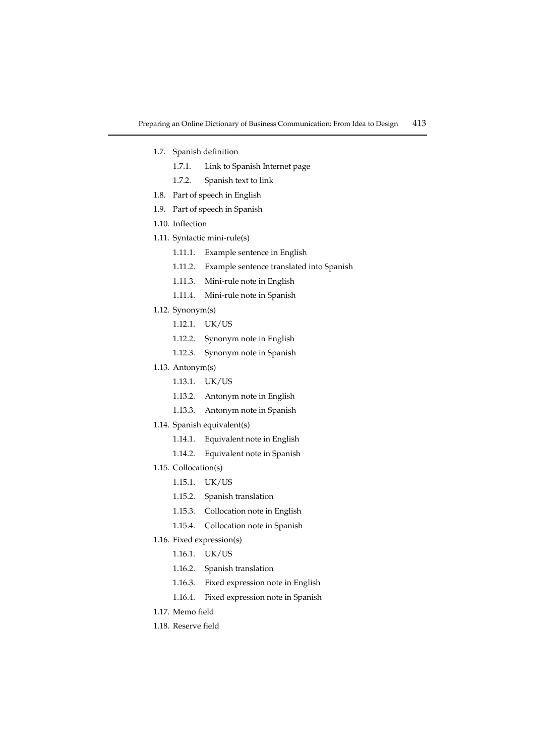- 1.7. Spanish definition
	- 1.7.1. Link to Spanish Internet page
	- 1.7.2. Spanish text to link
- 1.8. Part of speech in English
- 1.9. Part of speech in Spanish
- 1.10. Inflection
- 1.11. Syntactic mini-rule(s)
	- 1.11.1. Example sentence in English
	- 1.11.2. Example sentence translated into Spanish
	- 1.11.3. Mini-rule note in English
	- 1.11.4. Mini-rule note in Spanish
- 1.12. Synonym(s)
	- 1.12.1. UK/US
	- 1.12.2. Synonym note in English
	- 1.12.3. Synonym note in Spanish
- 1.13. Antonym(s)
	- 1.13.1. UK/US
	- 1.13.2. Antonym note in English
	- 1.13.3. Antonym note in Spanish
- 1.14. Spanish equivalent(s)
	- 1.14.1. Equivalent note in English
	- 1.14.2. Equivalent note in Spanish
- 1.15. Collocation(s)
	- 1.15.1. UK/US
	- 1.15.2. Spanish translation
	- 1.15.3. Collocation note in English
	- 1.15.4. Collocation note in Spanish
- 1.16. Fixed expression(s)
	- 1.16.1. UK/US
	- 1.16.2. Spanish translation
	- 1.16.3. Fixed expression note in English
	- 1.16.4. Fixed expression note in Spanish
- 1.17. Memo field
- 1.18. Reserve field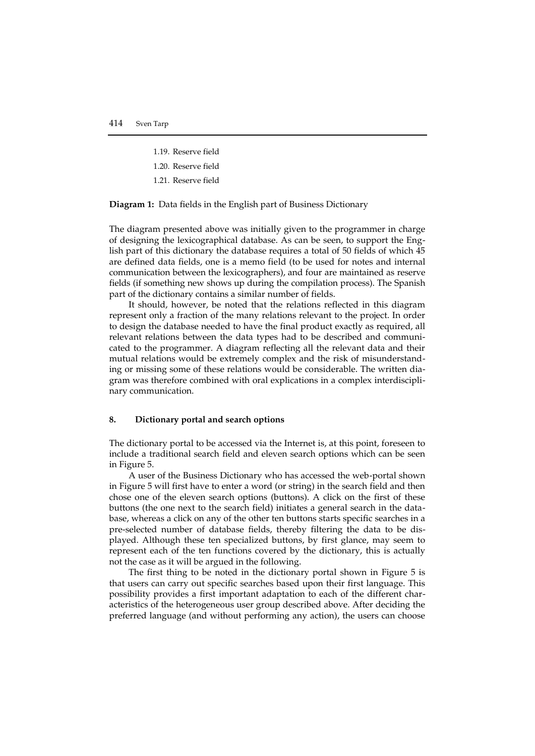- 1.19. Reserve field
- 1.20. Reserve field
- 1.21. Reserve field

**Diagram 1:** Data fields in the English part of Business Dictionary

The diagram presented above was initially given to the programmer in charge of designing the lexicographical database. As can be seen, to support the English part of this dictionary the database requires a total of 50 fields of which 45 are defined data fields, one is a memo field (to be used for notes and internal communication between the lexicographers), and four are maintained as reserve fields (if something new shows up during the compilation process). The Spanish part of the dictionary contains a similar number of fields.

It should, however, be noted that the relations reflected in this diagram represent only a fraction of the many relations relevant to the project. In order to design the database needed to have the final product exactly as required, all relevant relations between the data types had to be described and communicated to the programmer. A diagram reflecting all the relevant data and their mutual relations would be extremely complex and the risk of misunderstanding or missing some of these relations would be considerable. The written diagram was therefore combined with oral explications in a complex interdisciplinary communication.

# **8. Dictionary portal and search options**

The dictionary portal to be accessed via the Internet is, at this point, foreseen to include a traditional search field and eleven search options which can be seen in Figure 5.

A user of the Business Dictionary who has accessed the web-portal shown in Figure 5 will first have to enter a word (or string) in the search field and then chose one of the eleven search options (buttons). A click on the first of these buttons (the one next to the search field) initiates a general search in the database, whereas a click on any of the other ten buttons starts specific searches in a pre-selected number of database fields, thereby filtering the data to be displayed. Although these ten specialized buttons, by first glance, may seem to represent each of the ten functions covered by the dictionary, this is actually not the case as it will be argued in the following.

The first thing to be noted in the dictionary portal shown in Figure 5 is that users can carry out specific searches based upon their first language. This possibility provides a first important adaptation to each of the different characteristics of the heterogeneous user group described above. After deciding the preferred language (and without performing any action), the users can choose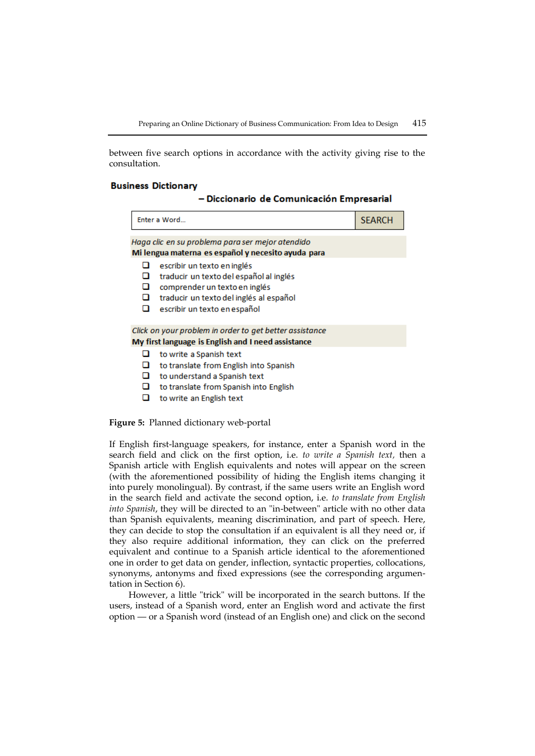between five search options in accordance with the activity giving rise to the consultation.

## **Business Dictionary**

## - Diccionario de Comunicación Empresarial

|                  | Enter a Word                                                                                                                                                                       | <b>SEARCH</b> |
|------------------|------------------------------------------------------------------------------------------------------------------------------------------------------------------------------------|---------------|
|                  | Haga clic en su problema para ser mejor atendido<br>Mi lengua materna es español y necesito ayuda para                                                                             |               |
| u<br>◻<br>◻<br>о | escribir un texto en inglés<br>traducir un texto del español al inglés<br>comprender un texto en inglés<br>traducir un texto del inglés al español<br>escribir un texto en español |               |
|                  | Click on your problem in order to get better assistance<br>My first language is English and I need assistance                                                                      |               |
| ப<br>o<br>□      | to write a Spanish text<br>to translate from English into Spanish<br>to understand a Spanish text<br>to translate from Spanish into English<br>to write an English text            |               |

#### **Figure 5:** Planned dictionary web-portal

If English first-language speakers, for instance, enter a Spanish word in the search field and click on the first option, i.e. *to write a Spanish text,* then a Spanish article with English equivalents and notes will appear on the screen (with the aforementioned possibility of hiding the English items changing it into purely monolingual). By contrast, if the same users write an English word in the search field and activate the second option, i.e. *to translate from English into Spanish*, they will be directed to an "in-between" article with no other data than Spanish equivalents, meaning discrimination, and part of speech. Here, they can decide to stop the consultation if an equivalent is all they need or, if they also require additional information, they can click on the preferred equivalent and continue to a Spanish article identical to the aforementioned one in order to get data on gender, inflection, syntactic properties, collocations, synonyms, antonyms and fixed expressions (see the corresponding argumentation in Section 6).

However, a little "trick" will be incorporated in the search buttons. If the users, instead of a Spanish word, enter an English word and activate the first option — or a Spanish word (instead of an English one) and click on the second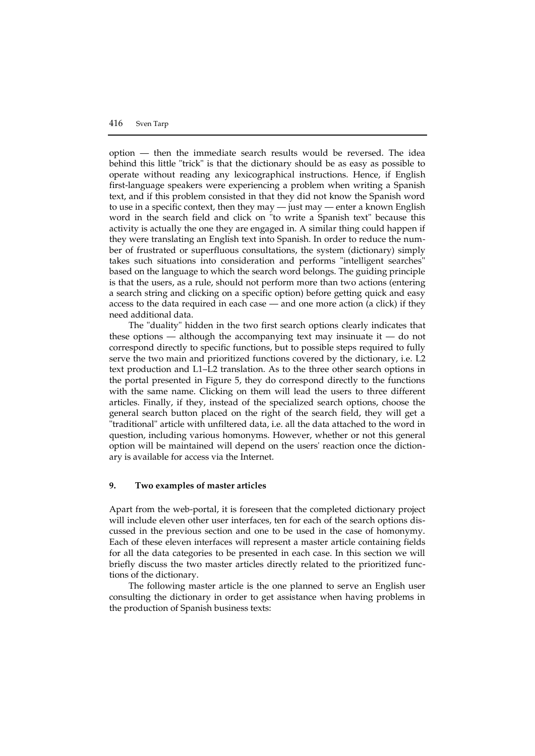option — then the immediate search results would be reversed. The idea behind this little "trick" is that the dictionary should be as easy as possible to operate without reading any lexicographical instructions. Hence, if English first-language speakers were experiencing a problem when writing a Spanish text, and if this problem consisted in that they did not know the Spanish word to use in a specific context, then they may — just may — enter a known English word in the search field and click on "to write a Spanish text" because this activity is actually the one they are engaged in. A similar thing could happen if they were translating an English text into Spanish. In order to reduce the number of frustrated or superfluous consultations, the system (dictionary) simply takes such situations into consideration and performs "intelligent searches" based on the language to which the search word belongs. The guiding principle is that the users, as a rule, should not perform more than two actions (entering a search string and clicking on a specific option) before getting quick and easy access to the data required in each case — and one more action (a click) if they need additional data.

The "duality" hidden in the two first search options clearly indicates that these options — although the accompanying text may insinuate it — do not correspond directly to specific functions, but to possible steps required to fully serve the two main and prioritized functions covered by the dictionary, i.e. L2 text production and L1–L2 translation. As to the three other search options in the portal presented in Figure 5, they do correspond directly to the functions with the same name. Clicking on them will lead the users to three different articles. Finally, if they, instead of the specialized search options, choose the general search button placed on the right of the search field, they will get a "traditional" article with unfiltered data, i.e. all the data attached to the word in question, including various homonyms. However, whether or not this general option will be maintained will depend on the users' reaction once the dictionary is available for access via the Internet.

## **9. Two examples of master articles**

Apart from the web-portal, it is foreseen that the completed dictionary project will include eleven other user interfaces, ten for each of the search options discussed in the previous section and one to be used in the case of homonymy. Each of these eleven interfaces will represent a master article containing fields for all the data categories to be presented in each case. In this section we will briefly discuss the two master articles directly related to the prioritized functions of the dictionary.

The following master article is the one planned to serve an English user consulting the dictionary in order to get assistance when having problems in the production of Spanish business texts: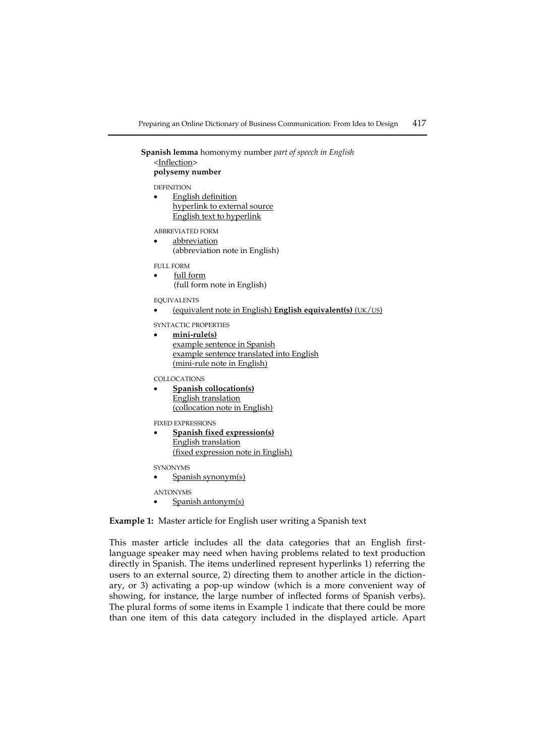**Spanish lemma** homonymy number *part of speech in English* <Inflection> **polysemy number**

DEFINITION

 English definition hyperlink to external source English text to hyperlink

ABBREVIATED FORM

 abbreviation (abbreviation note in English)

FULL FORM

- full form
	- (full form note in English)

EQUIVALENTS

(equivalent note in English) **English equivalent(s)** (UK/US)

SYNTACTIC PROPERTIES

 **mini-rule(s)** example sentence in Spanish example sentence translated into English (mini-rule note in English)

COLLOCATIONS

 **Spanish collocation(s)** English translation (collocation note in English)

FIXED EXPRESSIONS

 **Spanish fixed expression(s)** English translation (fixed expression note in English)

SYNONYMS

Spanish synonym(s)

ANTONYMS

Spanish antonym(s)

**Example 1:** Master article for English user writing a Spanish text

This master article includes all the data categories that an English firstlanguage speaker may need when having problems related to text production directly in Spanish. The items underlined represent hyperlinks 1) referring the users to an external source, 2) directing them to another article in the dictionary, or 3) activating a pop-up window (which is a more convenient way of showing, for instance, the large number of inflected forms of Spanish verbs). The plural forms of some items in Example 1 indicate that there could be more than one item of this data category included in the displayed article. Apart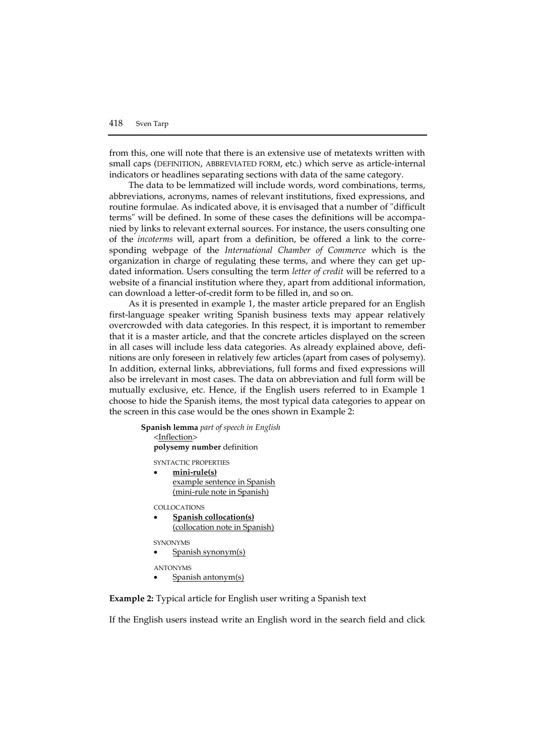from this, one will note that there is an extensive use of metatexts written with small caps (DEFINITION, ABBREVIATED FORM, etc.) which serve as article-internal indicators or headlines separating sections with data of the same category.

The data to be lemmatized will include words, word combinations, terms, abbreviations, acronyms, names of relevant institutions, fixed expressions, and routine formulae. As indicated above, it is envisaged that a number of "difficult terms" will be defined. In some of these cases the definitions will be accompanied by links to relevant external sources. For instance, the users consulting one of the *incoterms* will, apart from a definition, be offered a link to the corresponding webpage of the *International Chamber of Commerce* which is the organization in charge of regulating these terms, and where they can get updated information. Users consulting the term *letter of credit* will be referred to a website of a financial institution where they, apart from additional information, can download a letter-of-credit form to be filled in, and so on.

As it is presented in example 1, the master article prepared for an English first-language speaker writing Spanish business texts may appear relatively overcrowded with data categories. In this respect, it is important to remember that it is a master article, and that the concrete articles displayed on the screen in all cases will include less data categories. As already explained above, definitions are only foreseen in relatively few articles (apart from cases of polysemy). In addition, external links, abbreviations, full forms and fixed expressions will also be irrelevant in most cases. The data on abbreviation and full form will be mutually exclusive, etc. Hence, if the English users referred to in Example 1 choose to hide the Spanish items, the most typical data categories to appear on the screen in this case would be the ones shown in Example 2:

> **Spanish lemma** *part of speech in English* <Inflection> **polysemy number** definition SYNTACTIC PROPERTIES **mini-rule(s)** example sentence in Spanish (mini-rule note in Spanish) COLLOCATIONS **Spanish collocation(s)** (collocation note in Spanish) SYNONYMS Spanish synonym(s) ANTONYMS

> > Spanish antonym(s)

**Example 2:** Typical article for English user writing a Spanish text

If the English users instead write an English word in the search field and click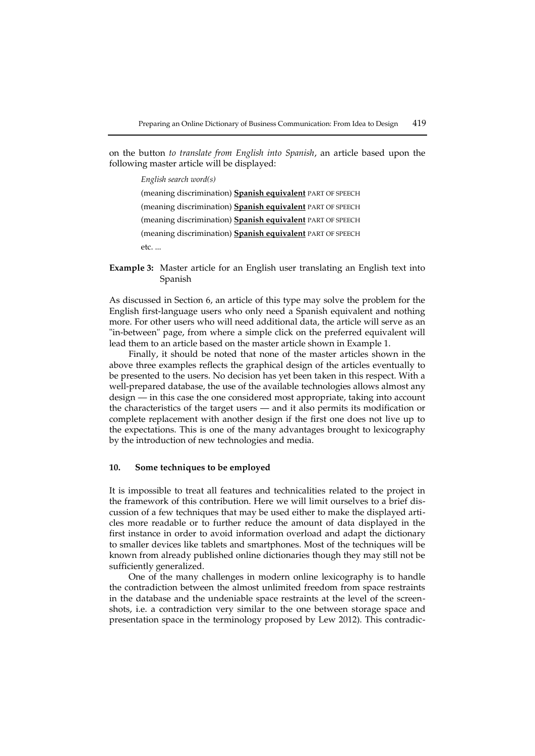on the button *to translate from English into Spanish*, an article based upon the following master article will be displayed:

> *English search word(s)* (meaning discrimination) **Spanish equivalent** PART OF SPEECH (meaning discrimination) **Spanish equivalent** PART OF SPEECH (meaning discrimination) **Spanish equivalent** PART OF SPEECH (meaning discrimination) **Spanish equivalent** PART OF SPEECH etc. ...

**Example 3:** Master article for an English user translating an English text into Spanish

As discussed in Section 6, an article of this type may solve the problem for the English first-language users who only need a Spanish equivalent and nothing more. For other users who will need additional data, the article will serve as an "in-between" page, from where a simple click on the preferred equivalent will lead them to an article based on the master article shown in Example 1.

Finally, it should be noted that none of the master articles shown in the above three examples reflects the graphical design of the articles eventually to be presented to the users. No decision has yet been taken in this respect. With a well-prepared database, the use of the available technologies allows almost any design — in this case the one considered most appropriate, taking into account the characteristics of the target users — and it also permits its modification or complete replacement with another design if the first one does not live up to the expectations. This is one of the many advantages brought to lexicography by the introduction of new technologies and media.

# **10. Some techniques to be employed**

It is impossible to treat all features and technicalities related to the project in the framework of this contribution. Here we will limit ourselves to a brief discussion of a few techniques that may be used either to make the displayed articles more readable or to further reduce the amount of data displayed in the first instance in order to avoid information overload and adapt the dictionary to smaller devices like tablets and smartphones. Most of the techniques will be known from already published online dictionaries though they may still not be sufficiently generalized.

One of the many challenges in modern online lexicography is to handle the contradiction between the almost unlimited freedom from space restraints in the database and the undeniable space restraints at the level of the screenshots, i.e. a contradiction very similar to the one between storage space and presentation space in the terminology proposed by Lew 2012). This contradic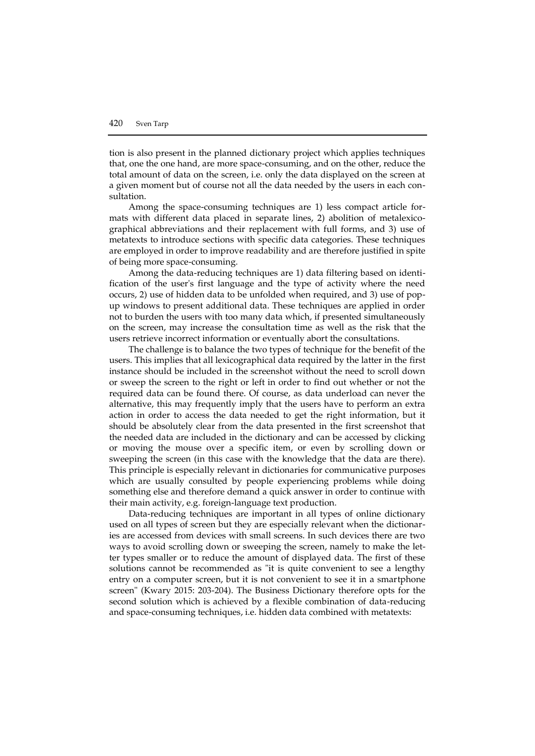tion is also present in the planned dictionary project which applies techniques that, one the one hand, are more space-consuming, and on the other, reduce the total amount of data on the screen, i.e. only the data displayed on the screen at a given moment but of course not all the data needed by the users in each consultation.

Among the space-consuming techniques are 1) less compact article formats with different data placed in separate lines, 2) abolition of metalexicographical abbreviations and their replacement with full forms, and 3) use of metatexts to introduce sections with specific data categories. These techniques are employed in order to improve readability and are therefore justified in spite of being more space-consuming.

Among the data-reducing techniques are 1) data filtering based on identification of the user's first language and the type of activity where the need occurs, 2) use of hidden data to be unfolded when required, and 3) use of popup windows to present additional data. These techniques are applied in order not to burden the users with too many data which, if presented simultaneously on the screen, may increase the consultation time as well as the risk that the users retrieve incorrect information or eventually abort the consultations.

The challenge is to balance the two types of technique for the benefit of the users. This implies that all lexicographical data required by the latter in the first instance should be included in the screenshot without the need to scroll down or sweep the screen to the right or left in order to find out whether or not the required data can be found there. Of course, as data underload can never the alternative, this may frequently imply that the users have to perform an extra action in order to access the data needed to get the right information, but it should be absolutely clear from the data presented in the first screenshot that the needed data are included in the dictionary and can be accessed by clicking or moving the mouse over a specific item, or even by scrolling down or sweeping the screen (in this case with the knowledge that the data are there). This principle is especially relevant in dictionaries for communicative purposes which are usually consulted by people experiencing problems while doing something else and therefore demand a quick answer in order to continue with their main activity, e.g. foreign-language text production.

Data-reducing techniques are important in all types of online dictionary used on all types of screen but they are especially relevant when the dictionaries are accessed from devices with small screens. In such devices there are two ways to avoid scrolling down or sweeping the screen, namely to make the letter types smaller or to reduce the amount of displayed data. The first of these solutions cannot be recommended as "it is quite convenient to see a lengthy entry on a computer screen, but it is not convenient to see it in a smartphone screen" (Kwary 2015: 203-204). The Business Dictionary therefore opts for the second solution which is achieved by a flexible combination of data-reducing and space-consuming techniques, i.e. hidden data combined with metatexts: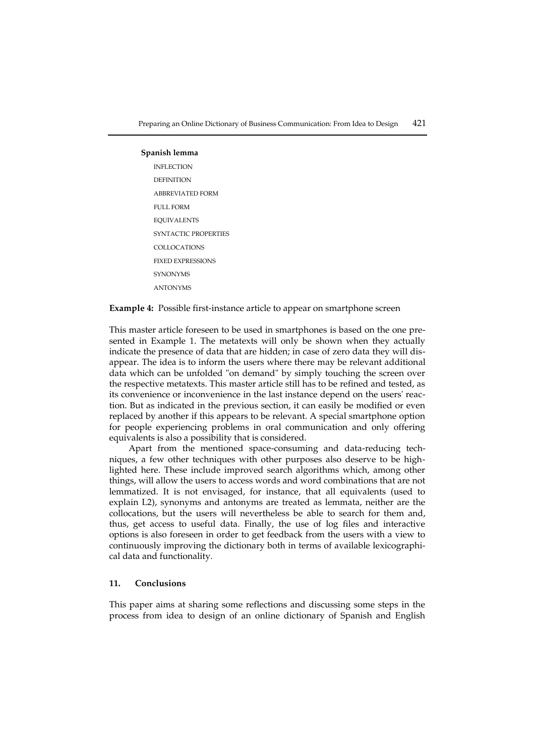#### **Spanish lemma**

INFLECTION **DEFINITION** ABBREVIATED FORM FULL FORM EQUIVALENTS SYNTACTIC PROPERTIES COLLOCATIONS FIXED EXPRESSIONS SYNONYMS ANTONYMS

**Example 4:** Possible first-instance article to appear on smartphone screen

This master article foreseen to be used in smartphones is based on the one presented in Example 1. The metatexts will only be shown when they actually indicate the presence of data that are hidden; in case of zero data they will disappear. The idea is to inform the users where there may be relevant additional data which can be unfolded "on demand" by simply touching the screen over the respective metatexts. This master article still has to be refined and tested, as its convenience or inconvenience in the last instance depend on the users' reaction. But as indicated in the previous section, it can easily be modified or even replaced by another if this appears to be relevant. A special smartphone option for people experiencing problems in oral communication and only offering equivalents is also a possibility that is considered.

Apart from the mentioned space-consuming and data-reducing techniques, a few other techniques with other purposes also deserve to be highlighted here. These include improved search algorithms which, among other things, will allow the users to access words and word combinations that are not lemmatized. It is not envisaged, for instance, that all equivalents (used to explain L2), synonyms and antonyms are treated as lemmata, neither are the collocations, but the users will nevertheless be able to search for them and, thus, get access to useful data. Finally, the use of log files and interactive options is also foreseen in order to get feedback from the users with a view to continuously improving the dictionary both in terms of available lexicographical data and functionality.

# **11. Conclusions**

This paper aims at sharing some reflections and discussing some steps in the process from idea to design of an online dictionary of Spanish and English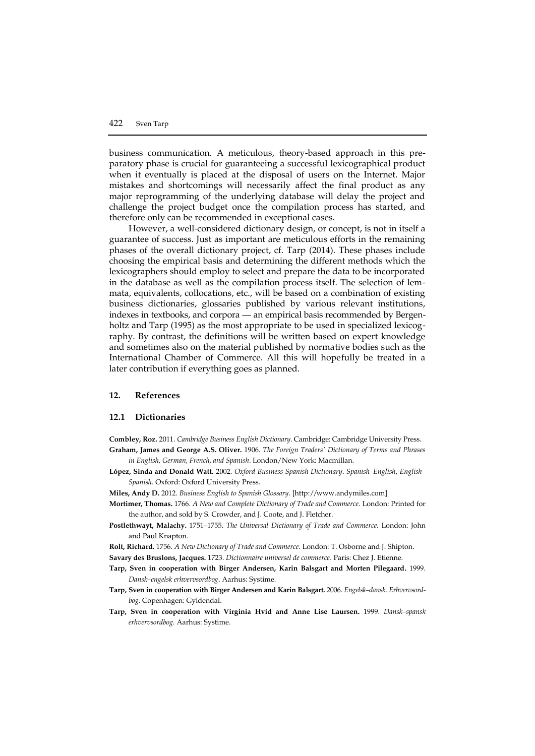business communication. A meticulous, theory-based approach in this preparatory phase is crucial for guaranteeing a successful lexicographical product when it eventually is placed at the disposal of users on the Internet. Major mistakes and shortcomings will necessarily affect the final product as any major reprogramming of the underlying database will delay the project and challenge the project budget once the compilation process has started, and therefore only can be recommended in exceptional cases.

However, a well-considered dictionary design, or concept, is not in itself a guarantee of success. Just as important are meticulous efforts in the remaining phases of the overall dictionary project, cf. Tarp (2014). These phases include choosing the empirical basis and determining the different methods which the lexicographers should employ to select and prepare the data to be incorporated in the database as well as the compilation process itself. The selection of lemmata, equivalents, collocations, etc., will be based on a combination of existing business dictionaries, glossaries published by various relevant institutions, indexes in textbooks, and corpora — an empirical basis recommended by Bergenholtz and Tarp (1995) as the most appropriate to be used in specialized lexicography. By contrast, the definitions will be written based on expert knowledge and sometimes also on the material published by normative bodies such as the International Chamber of Commerce. All this will hopefully be treated in a later contribution if everything goes as planned.

#### **12. References**

#### **12.1 Dictionaries**

**Combley, Roz.** 2011. *Cambridge Business English Dictionary*. Cambridge: Cambridge University Press. **Graham, James and George A.S. Oliver.** 1906. *The Foreign Traders' Dictionary of Terms and Phrases in English, German, French, and Spanish*. London/New York: Macmillan.

- **López, Sinda and Donald Watt.** 2002. *Oxford Business Spanish Dictionary*. *Spanish–English*, *English– Spanish*. Oxford: Oxford University Press.
- **Miles, Andy D.** 2012. *Business English to Spanish Glossary*. [http://www.andymiles.com]
- **Mortimer, Thomas.** 1766. *A New and Complete Dictionary of Trade and Commerce*. London: Printed for the author, and sold by S. Crowder, and J. Coote, and J. Fletcher.
- **Postlethwayt, Malachy.** 1751–1755. *The Universal Dictionary of Trade and Commerce.* London: John and Paul Knapton.
- **Rolt, Richard.** 1756. *A New Dictionary of Trade and Commerce*. London: T. Osborne and J. Shipton.
- **Savary des Bruslons, Jacques.** 1723. *Dictionnaire universel de commerce*. Paris: Chez J. Etienne.
- **Tarp, Sven in cooperation with Birger Andersen, Karin Balsgart and Morten Pilegaard.** 1999. *Dansk–engelsk erhvervsordbog*. Aarhus: Systime.
- **Tarp, Sven in cooperation with Birger Andersen and Karin Balsgart.** 2006. *Engelsk–dansk. Erhvervsordbog*. Copenhagen: Gyldendal.
- **Tarp, Sven in cooperation with Virginia Hvid and Anne Lise Laursen.** 1999. *Dansk–spansk erhvervsordbog.* Aarhus: Systime.